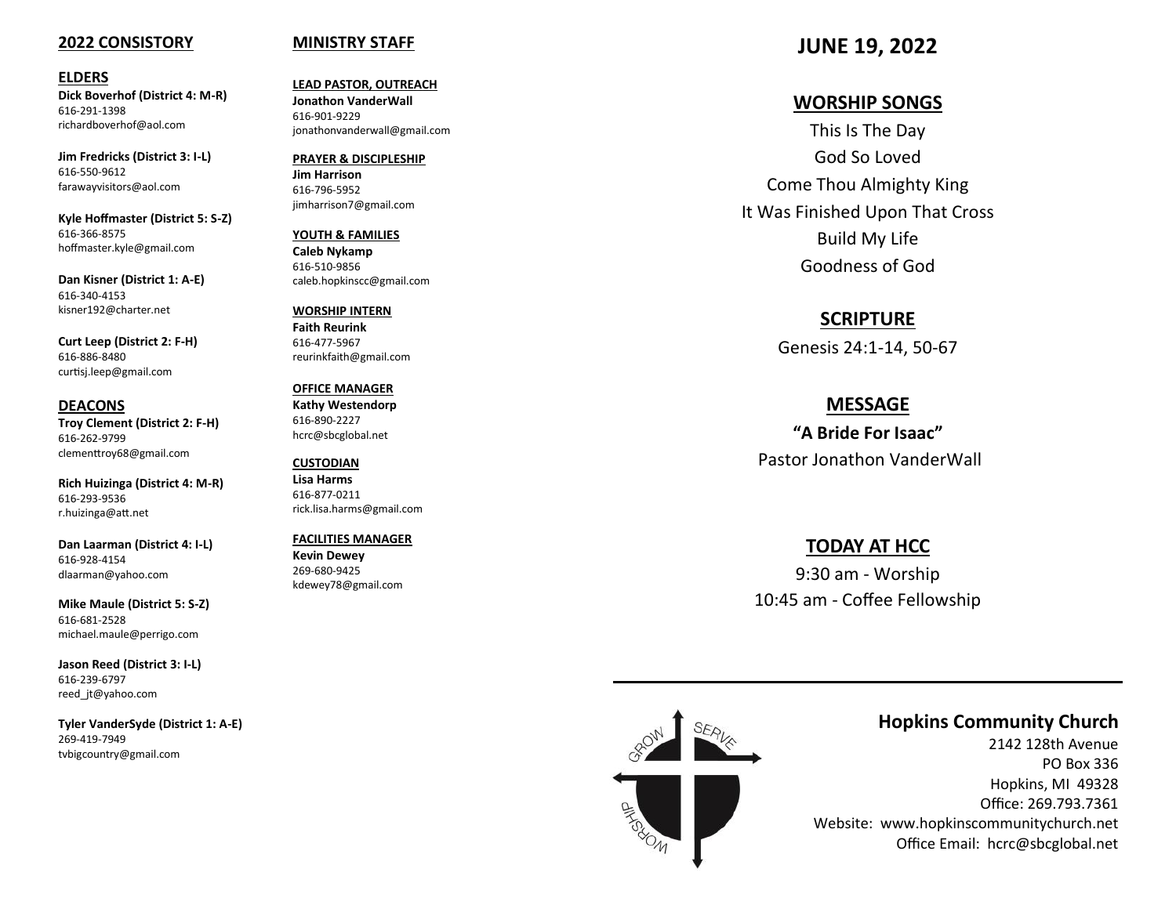#### **2022 CONSISTORY**

#### **ELDERS**

**Dick Boverhof (District 4: M -R)** 616 -291 -1398 richardboverhof@aol.com

**Jim Fredricks (District 3: I -L)** 616 -550 -9612 farawayvisitors@aol.com

**Kyle Hoffmaster (District 5: S -Z)** 616 -366 -8575 hoffmaster.kyle@gmail.com

**Dan Kisner (District 1: A -E)** 616 -340 -4153 kisner192@charter.net

**Curt Leep (District 2: F -H)** 616 -886 -8480 curtisj.leep@gmail.com

**DEACONS Troy Clement (District 2: F -H)** 616 -262 -9799 clementtroy68@gmail.com

**Rich Huizinga (District 4: M -R)** 616 -293 -9536 r.huizinga@att.net

**Dan Laarman (District 4: I -L)** 616 -928 -4154 dlaarman@yahoo.com

**Mike Maule (District 5: S -Z)** 616 -681 -2528 michael.maule@perrigo.com

**Jason Reed (District 3: I -L)** 616 -239 -6797 reed\_jt@yahoo.com

**Tyler VanderSyde (District 1: A -E)** 269 -419 -7949 tvbigcountry@gmail.com

#### **MINISTRY STAFF**

**LEAD PASTOR, OUTREACH Jonathon VanderWall**  616 -901 -9229 jonathonvanderwall@gmail.com

**PRAYER & DISCIPLESHIP Jim Harrison** 616 -796 -5952 jimharrison7@gmail.com

**YOUTH & FAMILIES Caleb Nykamp** 616 -510 -9856 caleb.hopkinscc@gmail.com

**WORSHIP INTERN Faith Reurink** 616 -477 -5967 reurinkfaith@gmail.com

**OFFICE MANAGER Kathy Westendorp** 616 -890 -2227 hcrc@sbcglobal.net

**CUSTODIAN Lisa Harms** 616 -877 -0211 rick.lisa.harms@gmail.com

**FACILITIES MANAGER Kevin Dewey** 269 -680 -9425 kdewey78@gmail.com

**JUNE 19, 2022**

## **WORSHIP SONGS**

This Is The Day God So Loved Come Thou Almighty King It Was Finished Upon That Cross Build My Life Goodness of God

## **SCRIPTURE**

Genesis 24:1 -14, 50 -67

### **MESSAGE**

**"A Bride For Isaac"**  Pastor Jonathon VanderWall

## **TODAY AT HCC**

9:30 am - Worship 10:45 am - Coffee Fellowship



# **Hopkins Community Church**

2142 128th Avenue PO Box 336 Hopkins, MI 49328 Office: 269.793.7361 Website: www.hopkinscommunitychurch.net Office Email: hcrc@sbcglobal.net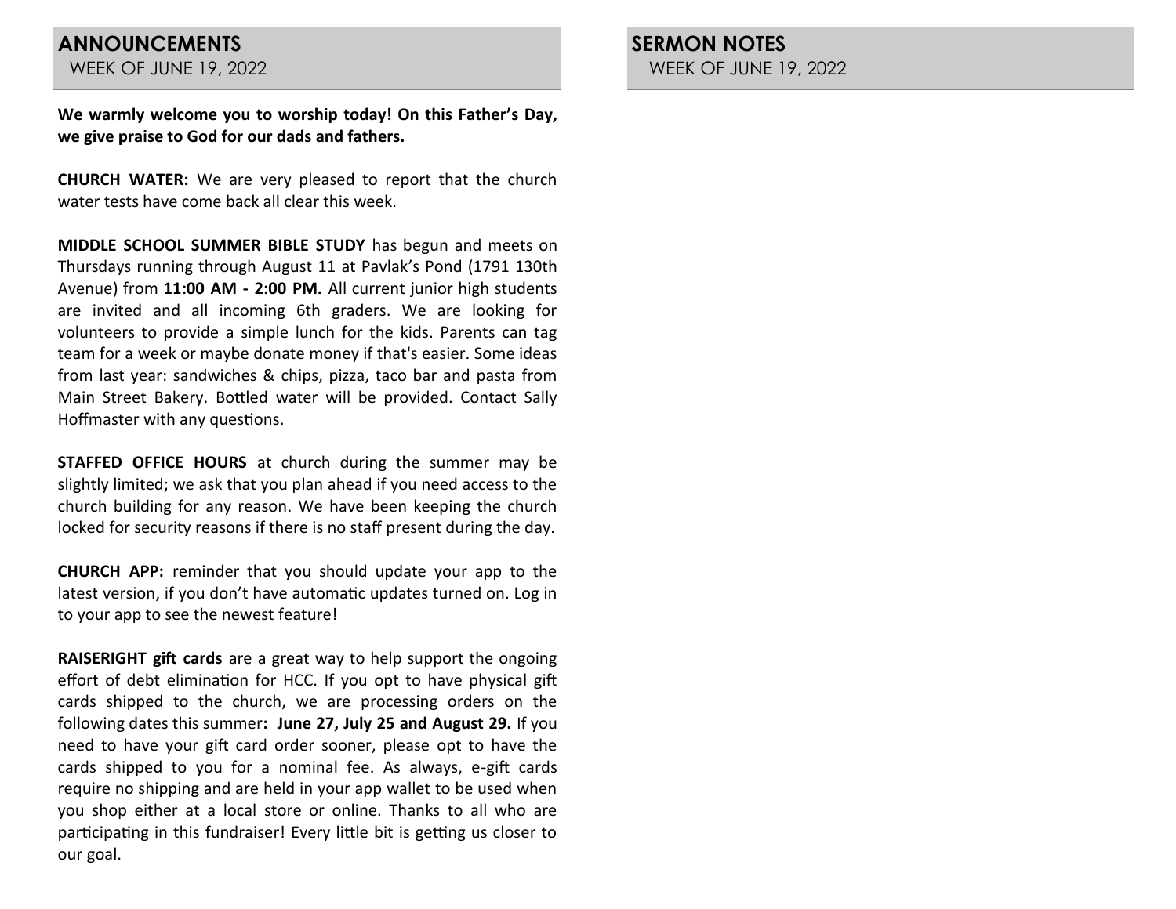**We warmly welcome you to worship today! On this Father's Day, we give praise to God for our dads and fathers.**

**CHURCH WATER:** We are very pleased to report that the church water tests have come back all clear this week.

**MIDDLE SCHOOL SUMMER BIBLE STUDY** has begun and meets on Thursdays running through August 11 at Pavlak's Pond (1791 130th Avenue) from **11:00 AM - 2:00 PM.** All current junior high students are invited and all incoming 6th graders. We are looking for volunteers to provide a simple lunch for the kids. Parents can tag team for a week or maybe donate money if that's easier. Some ideas from last year: sandwiches & chips, pizza, taco bar and pasta from Main Street Bakery. Bottled water will be provided. Contact Sally Hoffmaster with any questions.

**STAFFED OFFICE HOURS** at church during the summer may be slightly limited; we ask that you plan ahead if you need access to the church building for any reason. We have been keeping the church locked for security reasons if there is no staff present during the day.

**CHURCH APP:** reminder that you should update your app to the latest version, if you don't have automatic updates turned on. Log in to your app to see the newest feature!

**RAISERIGHT gift cards** are a great way to help support the ongoing effort of debt elimination for HCC. If you opt to have physical gift cards shipped to the church, we are processing orders on the following dates this summer**: June 27, July 25 and August 29.** If you need to have your gift card order sooner, please opt to have the cards shipped to you for a nominal fee. As always, e-gift cards require no shipping and are held in your app wallet to be used when you shop either at a local store or online. Thanks to all who are participating in this fundraiser! Every little bit is getting us closer to our goal.